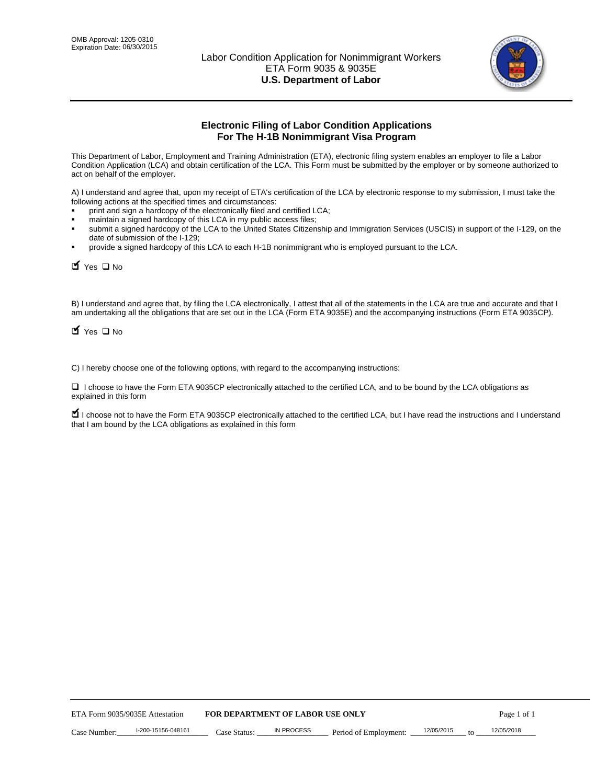

# **Electronic Filing of Labor Condition Applications For The H-1B Nonimmigrant Visa Program**

This Department of Labor, Employment and Training Administration (ETA), electronic filing system enables an employer to file a Labor Condition Application (LCA) and obtain certification of the LCA. This Form must be submitted by the employer or by someone authorized to act on behalf of the employer.

A) I understand and agree that, upon my receipt of ETA's certification of the LCA by electronic response to my submission, I must take the following actions at the specified times and circumstances:

- print and sign a hardcopy of the electronically filed and certified LCA;
- maintain a signed hardcopy of this LCA in my public access files;
- submit a signed hardcopy of the LCA to the United States Citizenship and Immigration Services (USCIS) in support of the I-129, on the date of submission of the I-129;
- provide a signed hardcopy of this LCA to each H-1B nonimmigrant who is employed pursuant to the LCA.

| Yes O No                        |                                                                  |                                  |                   |                                                                                                                                                                                                                                                                                     |            |    |             |
|---------------------------------|------------------------------------------------------------------|----------------------------------|-------------------|-------------------------------------------------------------------------------------------------------------------------------------------------------------------------------------------------------------------------------------------------------------------------------------|------------|----|-------------|
| $\blacksquare$ Yes $\square$ No |                                                                  |                                  |                   | B) I understand and agree that, by filing the LCA electronically, I attest that all of the statements in the LCA are true and accurate and th<br>am undertaking all the obligations that are set out in the LCA (Form ETA 9035E) and the accompanying instructions (Form ETA 9035CF |            |    |             |
| explained in this form          |                                                                  |                                  |                   | C) I hereby choose one of the following options, with regard to the accompanying instructions:<br>□ I choose to have the Form ETA 9035CP electronically attached to the certified LCA, and to be bound by the LCA obligations as                                                    |            |    |             |
|                                 | that I am bound by the LCA obligations as explained in this form |                                  |                   | I choose not to have the Form ETA 9035CP electronically attached to the certified LCA, but I have read the instructions and I unders                                                                                                                                                |            |    |             |
|                                 |                                                                  |                                  |                   |                                                                                                                                                                                                                                                                                     |            |    |             |
|                                 |                                                                  |                                  |                   |                                                                                                                                                                                                                                                                                     |            |    |             |
|                                 |                                                                  |                                  |                   |                                                                                                                                                                                                                                                                                     |            |    |             |
|                                 |                                                                  |                                  |                   |                                                                                                                                                                                                                                                                                     |            |    |             |
|                                 |                                                                  |                                  |                   |                                                                                                                                                                                                                                                                                     |            |    |             |
|                                 |                                                                  |                                  |                   |                                                                                                                                                                                                                                                                                     |            |    |             |
|                                 |                                                                  |                                  |                   |                                                                                                                                                                                                                                                                                     |            |    |             |
|                                 |                                                                  |                                  |                   |                                                                                                                                                                                                                                                                                     |            |    |             |
| ETA Form 9035/9035E Attestation |                                                                  | FOR DEPARTMENT OF LABOR USE ONLY |                   |                                                                                                                                                                                                                                                                                     |            |    | Page 1 of 1 |
| Case Number:                    | I-200-15156-048161                                               | Case Status:                     | <b>IN PROCESS</b> | Period of Employment:                                                                                                                                                                                                                                                               | 12/05/2015 | to | 12/05/2018  |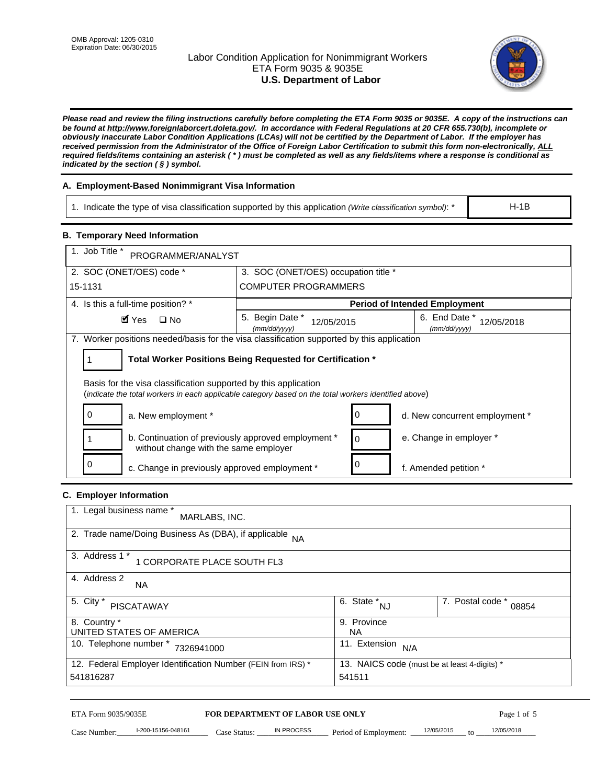# Labor Condition Application for Nonimmigrant Workers ETA Form 9035 & 9035E **U.S. Department of Labor**



*Please read and review the filing instructions carefully before completing the ETA Form 9035 or 9035E. A copy of the instructions can be found at http://www.foreignlaborcert.doleta.gov/. In accordance with Federal Regulations at 20 CFR 655.730(b), incomplete or obviously inaccurate Labor Condition Applications (LCAs) will not be certified by the Department of Labor. If the employer has received permission from the Administrator of the Office of Foreign Labor Certification to submit this form non-electronically, ALL required fields/items containing an asterisk ( \* ) must be completed as well as any fields/items where a response is conditional as indicated by the section ( § ) symbol.* 

# **A. Employment-Based Nonimmigrant Visa Information**

1. Indicate the type of visa classification supported by this application *(Write classification symbol)*: \*

# **B. Temporary Need Information**

| 1. Indicate the type of visa classification supported by this application (Write classification symbol): *                                                              |                                                       |                                                 |                                              | $H-1B$                    |
|-------------------------------------------------------------------------------------------------------------------------------------------------------------------------|-------------------------------------------------------|-------------------------------------------------|----------------------------------------------|---------------------------|
| <b>B. Temporary Need Information</b>                                                                                                                                    |                                                       |                                                 |                                              |                           |
| 1. Job Title *<br>PROGRAMMER/ANALYST                                                                                                                                    |                                                       |                                                 |                                              |                           |
| 2. SOC (ONET/OES) code *                                                                                                                                                | 3. SOC (ONET/OES) occupation title *                  |                                                 |                                              |                           |
| 15-1131                                                                                                                                                                 | <b>COMPUTER PROGRAMMERS</b>                           |                                                 |                                              |                           |
| 4. Is this a full-time position? *                                                                                                                                      |                                                       |                                                 | <b>Period of Intended Employment</b>         |                           |
| $\blacksquare$ Yes<br>$\square$ No                                                                                                                                      | 5. Begin Date *<br>12/05/2015<br>(mm/dd/yyyy)         |                                                 | 6. End Date *<br>(mm/dd/yyyy)                | 12/05/2018                |
| 7. Worker positions needed/basis for the visa classification supported by this application                                                                              |                                                       |                                                 |                                              |                           |
| Total Worker Positions Being Requested for Certification *<br>1                                                                                                         |                                                       |                                                 |                                              |                           |
| Basis for the visa classification supported by this application<br>(indicate the total workers in each applicable category based on the total workers identified above) |                                                       |                                                 |                                              |                           |
| 0<br>a. New employment *                                                                                                                                                |                                                       | 0                                               | d. New concurrent employment *               |                           |
| b. Continuation of previously approved employment *<br>without change with the same employer                                                                            |                                                       | 0                                               | e. Change in employer *                      |                           |
| 0<br>c. Change in previously approved employment *                                                                                                                      |                                                       | 0                                               | f. Amended petition *                        |                           |
| C. Employer Information                                                                                                                                                 |                                                       |                                                 |                                              |                           |
| 1. Legal business name *<br>MARLABS, INC.                                                                                                                               |                                                       |                                                 |                                              |                           |
| 2. Trade name/Doing Business As (DBA), if applicable NA                                                                                                                 |                                                       |                                                 |                                              |                           |
| 3. Address 1 *<br>1 CORPORATE PLACE SOUTH FL3                                                                                                                           |                                                       |                                                 |                                              |                           |
| 4. Address 2<br>NA.                                                                                                                                                     |                                                       |                                                 |                                              |                           |
| 5. City $*$<br><b>PISCATAWAY</b>                                                                                                                                        |                                                       | $\overline{6. \quad \text{State}}^*_{\quad NJ}$ |                                              | 7. Postal code *<br>08854 |
| 8. Country *<br>UNITED STATES OF AMERICA                                                                                                                                |                                                       | 9. Province<br><b>NA</b>                        |                                              |                           |
| 10. Telephone number * 7326941000                                                                                                                                       |                                                       | 11. Extension $N/A$                             |                                              |                           |
| 12. Federal Employer Identification Number (FEIN from IRS) *<br>541816287                                                                                               |                                                       | 541511                                          | 13. NAICS code (must be at least 4-digits) * |                           |
|                                                                                                                                                                         |                                                       |                                                 |                                              |                           |
| ETA Form 9035/9035E<br>I-200-15156-048161<br>Case Number:<br>$Case$ Statue                                                                                              | <b>FOR DEPARTMENT OF LABOR USE ONLY</b><br>IN PROCESS | Period of Employment:                           | 12/05/2015                                   | Page 1 of 5<br>12/05/2018 |

# **C. Employer Information**

| 1. Legal business name *<br>MARLABS, INC.                    |                                              |                           |
|--------------------------------------------------------------|----------------------------------------------|---------------------------|
| 2. Trade name/Doing Business As (DBA), if applicable NA      |                                              |                           |
| 3. Address 1 *<br>1 CORPORATE PLACE SOUTH FL3                |                                              |                           |
| 4. Address 2<br><b>NA</b>                                    |                                              |                           |
| 5. City *<br><b>PISCATAWAY</b>                               | 6. State *<br><b>NJ</b>                      | 7. Postal code *<br>08854 |
| 8. Country *                                                 | 9. Province                                  |                           |
| UNITED STATES OF AMERICA                                     | NA                                           |                           |
| 10. Telephone number *<br>7326941000                         | 11. Extension<br>N/A                         |                           |
| 12. Federal Employer Identification Number (FEIN from IRS) * | 13. NAICS code (must be at least 4-digits) * |                           |
| 541816287                                                    | 541511                                       |                           |

# ETA Form 9035/9035E **FOR DEPARTMENT OF LABOR USE ONLY** Page 1 of 5<br>Case Number: 1200-15156-048161 Case Status: IN PROCESS Period of Employment: 12/05/2015 to 12/05/2018

Case Number:  $\frac{1-200-15156-048161}{200-15156-048161}$  Case Status:  $\frac{1 \text{N} \cdot \text{R} \cdot \text{N} \cdot \text{N} \cdot \text{N} \cdot \text{N} \cdot \text{N} \cdot \text{N} \cdot \text{N} \cdot \text{N} \cdot \text{N} \cdot \text{N} \cdot \text{N} \cdot \text{N} \cdot \text{N} \cdot \text{N} \cdot \text{N} \cdot \text{N} \cdot \text{N} \cdot \text{N} \cdot \text{N} \cdot \text$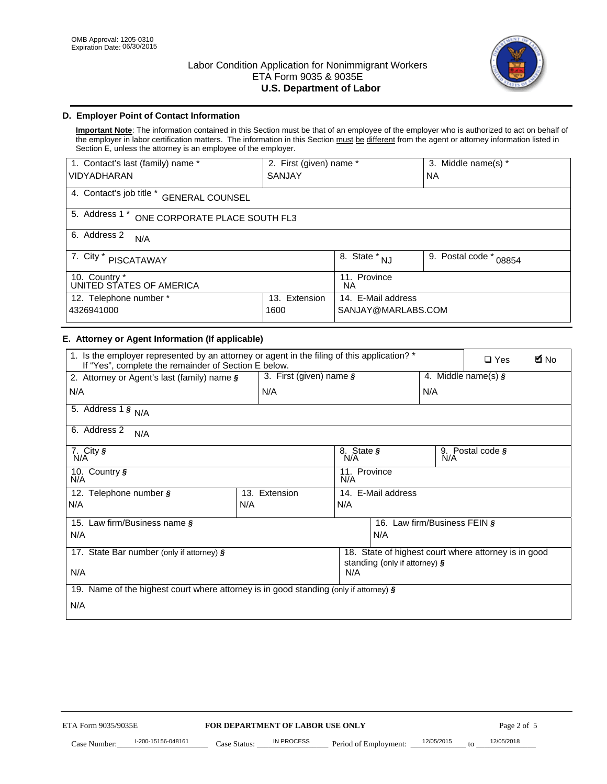

# **D. Employer Point of Contact Information**

**Important Note**: The information contained in this Section must be that of an employee of the employer who is authorized to act on behalf of the employer in labor certification matters. The information in this Section must be different from the agent or attorney information listed in Section E, unless the attorney is an employee of the employer.

| 1. Contact's last (family) name *                  | 2. First (given) name *          |                           | 3. Middle name(s) * |  |
|----------------------------------------------------|----------------------------------|---------------------------|---------------------|--|
| <b>VIDYADHARAN</b>                                 | <b>SANJAY</b>                    |                           | <b>NA</b>           |  |
| 4. Contact's job title *<br><b>GENERAL COUNSEL</b> |                                  |                           |                     |  |
| 5. Address 1 *<br>ONE CORPORATE PLACE SOUTH FL3    |                                  |                           |                     |  |
| 6. Address 2<br>N/A                                |                                  |                           |                     |  |
| 7. City $*$<br><b>PISCATAWAY</b>                   | $\overline{8}$ . State $*$<br>NJ | 9. Postal code *<br>08854 |                     |  |
| 10. Country *<br>UNITED STATES OF AMERICA          | 11. Province<br>ΝA               |                           |                     |  |
| Extension<br>12. Telephone number *<br>13.         |                                  | 14. E-Mail address        |                     |  |
| 4326941000<br>1600                                 |                                  | SANJAY@MARLABS.COM        |                     |  |

# **E. Attorney or Agent Information (If applicable)**

| VIDYADHARAN                                                                                                                                         | SANJAY                           |                           |                                          | <b>NA</b>        |                                                      |             |
|-----------------------------------------------------------------------------------------------------------------------------------------------------|----------------------------------|---------------------------|------------------------------------------|------------------|------------------------------------------------------|-------------|
| 4. Contact's job title * GENERAL COUNSEL                                                                                                            |                                  |                           |                                          |                  |                                                      |             |
| 5. Address 1 * ONE CORPORATE PLACE SOUTH FL3                                                                                                        |                                  |                           |                                          |                  |                                                      |             |
| 6. Address 2<br>N/A                                                                                                                                 |                                  |                           |                                          |                  |                                                      |             |
| 7. City * PISCATAWAY                                                                                                                                |                                  |                           | 8. State $*_{NJ}$                        | 9. Postal code * | 08854                                                |             |
| 10. Country *<br>UNITED STATES OF AMERICA                                                                                                           |                                  | 11. Province<br><b>NA</b> |                                          |                  |                                                      |             |
| 12. Telephone number *<br>4326941000                                                                                                                | 13. Extension<br>1600            |                           | 14. E-Mail address<br>SANJAY@MARLABS.COM |                  |                                                      |             |
| E. Attorney or Agent Information (If applicable)                                                                                                    |                                  |                           |                                          |                  |                                                      |             |
| 1. Is the employer represented by an attorney or agent in the filing of this application? *<br>If "Yes", complete the remainder of Section E below. |                                  |                           |                                          |                  | $\Box$ Yes                                           | <b>A</b> No |
| 2. Attorney or Agent's last (family) name §                                                                                                         | 3. First (given) name §          |                           |                                          |                  | 4. Middle name(s) $\sqrt{s}$                         |             |
| N/A                                                                                                                                                 | N/A                              |                           |                                          | N/A              |                                                      |             |
| 5. Address 1 $\frac{1}{9}$ N/A                                                                                                                      |                                  |                           |                                          |                  |                                                      |             |
| 6. Address 2<br>N/A                                                                                                                                 |                                  |                           |                                          |                  |                                                      |             |
| 7. City §<br>N/A                                                                                                                                    |                                  | 8. State §<br>N/A         |                                          |                  | 9. Postal code §                                     |             |
| 10. Country §<br>N/A                                                                                                                                |                                  | 11. Province<br>N/A       |                                          |                  |                                                      |             |
| 12. Telephone number §                                                                                                                              | 13. Extension                    | 14. E-Mail address        |                                          |                  |                                                      |             |
| N/A                                                                                                                                                 | N/A                              | N/A                       |                                          |                  |                                                      |             |
| 15. Law firm/Business name §                                                                                                                        |                                  |                           | 16. Law firm/Business FEIN §             |                  |                                                      |             |
| N/A                                                                                                                                                 |                                  |                           | N/A                                      |                  |                                                      |             |
| 17. State Bar number (only if attorney) §                                                                                                           |                                  |                           | standing (only if attorney) §            |                  | 18. State of highest court where attorney is in good |             |
| N/A                                                                                                                                                 |                                  | N/A                       |                                          |                  |                                                      |             |
| 19. Name of the highest court where attorney is in good standing (only if attorney) §                                                               |                                  |                           |                                          |                  |                                                      |             |
| N/A                                                                                                                                                 |                                  |                           |                                          |                  |                                                      |             |
|                                                                                                                                                     |                                  |                           |                                          |                  |                                                      |             |
|                                                                                                                                                     |                                  |                           |                                          |                  |                                                      |             |
|                                                                                                                                                     |                                  |                           |                                          |                  |                                                      |             |
|                                                                                                                                                     |                                  |                           |                                          |                  |                                                      |             |
|                                                                                                                                                     |                                  |                           |                                          |                  |                                                      |             |
|                                                                                                                                                     |                                  |                           |                                          |                  |                                                      |             |
|                                                                                                                                                     |                                  |                           |                                          |                  |                                                      |             |
| ETA Form 9035/9035E                                                                                                                                 | FOR DEPARTMENT OF LABOR USE ONLY |                           |                                          |                  | Page 2 of 5                                          |             |
| I-200-15156-048161                                                                                                                                  | <b>IN PROCESS</b>                |                           |                                          | 12/05/2015       | 12/05/2018                                           |             |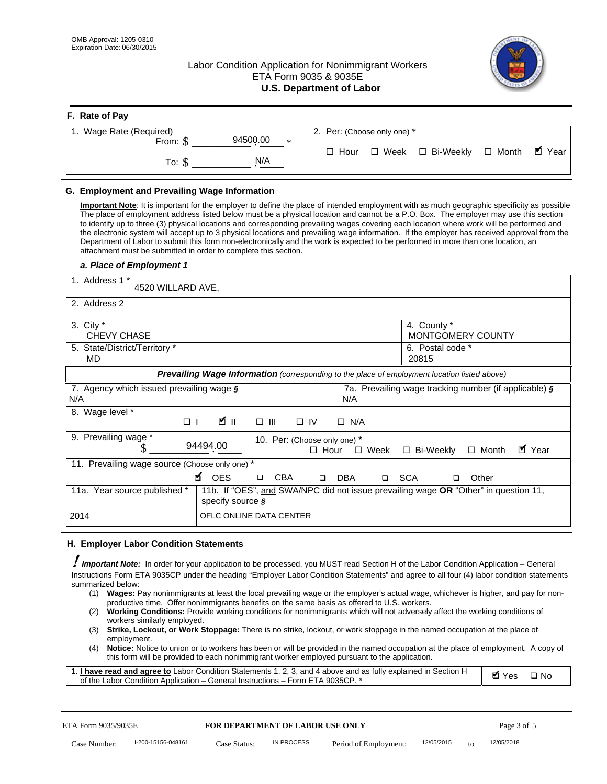# Labor Condition Application for Nonimmigrant Workers ETA Form 9035 & 9035E **U.S. Department of Labor**



| F. Rate of Pay                 |                                           |
|--------------------------------|-------------------------------------------|
| 1. Wage Rate (Required)        | 2. Per: (Choose only one) *               |
| 94500.00<br>From: \$<br>$\ast$ | ■ Year                                    |
| N/A<br>To: \$                  | □ Week □ Bi-Weekly □ Month<br>$\Box$ Hour |

### **G. Employment and Prevailing Wage Information**

#### *a. Place of Employment 1*

| From: \$<br>To: $$$                                                                                                                                                                                                                                                                                                                                                                                                                                                                                                                                                                                                                                                                                                                                                                                                  | 94500.00<br>$\ast$<br>N/A                                                                                                                                                                                                                                                                                                                                                                                                                                                                                                                                                                                                                                                                                                         | $\Box$ Hour |            | $\Box$ Week           | $\Box$ Bi-Weekly                                      | $\Box$ Month | $\blacksquare$ Year |
|----------------------------------------------------------------------------------------------------------------------------------------------------------------------------------------------------------------------------------------------------------------------------------------------------------------------------------------------------------------------------------------------------------------------------------------------------------------------------------------------------------------------------------------------------------------------------------------------------------------------------------------------------------------------------------------------------------------------------------------------------------------------------------------------------------------------|-----------------------------------------------------------------------------------------------------------------------------------------------------------------------------------------------------------------------------------------------------------------------------------------------------------------------------------------------------------------------------------------------------------------------------------------------------------------------------------------------------------------------------------------------------------------------------------------------------------------------------------------------------------------------------------------------------------------------------------|-------------|------------|-----------------------|-------------------------------------------------------|--------------|---------------------|
|                                                                                                                                                                                                                                                                                                                                                                                                                                                                                                                                                                                                                                                                                                                                                                                                                      |                                                                                                                                                                                                                                                                                                                                                                                                                                                                                                                                                                                                                                                                                                                                   |             |            |                       |                                                       |              |                     |
| G. Employment and Prevailing Wage Information                                                                                                                                                                                                                                                                                                                                                                                                                                                                                                                                                                                                                                                                                                                                                                        |                                                                                                                                                                                                                                                                                                                                                                                                                                                                                                                                                                                                                                                                                                                                   |             |            |                       |                                                       |              |                     |
| Important Note: It is important for the employer to define the place of intended employment with as much geographic specificity as possible<br>The place of employment address listed below must be a physical location and cannot be a P.O. Box. The employer may use this section<br>to identify up to three (3) physical locations and corresponding prevailing wages covering each location where work will be performed and<br>the electronic system will accept up to 3 physical locations and prevailing wage information. If the employer has received approval from the<br>Department of Labor to submit this form non-electronically and the work is expected to be performed in more than one location, an<br>attachment must be submitted in order to complete this section.<br>a. Place of Employment 1 |                                                                                                                                                                                                                                                                                                                                                                                                                                                                                                                                                                                                                                                                                                                                   |             |            |                       |                                                       |              |                     |
| 1. Address 1 *<br>4520 WILLARD AVE,                                                                                                                                                                                                                                                                                                                                                                                                                                                                                                                                                                                                                                                                                                                                                                                  |                                                                                                                                                                                                                                                                                                                                                                                                                                                                                                                                                                                                                                                                                                                                   |             |            |                       |                                                       |              |                     |
| 2. Address 2                                                                                                                                                                                                                                                                                                                                                                                                                                                                                                                                                                                                                                                                                                                                                                                                         |                                                                                                                                                                                                                                                                                                                                                                                                                                                                                                                                                                                                                                                                                                                                   |             |            |                       |                                                       |              |                     |
|                                                                                                                                                                                                                                                                                                                                                                                                                                                                                                                                                                                                                                                                                                                                                                                                                      |                                                                                                                                                                                                                                                                                                                                                                                                                                                                                                                                                                                                                                                                                                                                   |             |            |                       |                                                       |              |                     |
| 3. City $*$<br><b>CHEVY CHASE</b>                                                                                                                                                                                                                                                                                                                                                                                                                                                                                                                                                                                                                                                                                                                                                                                    |                                                                                                                                                                                                                                                                                                                                                                                                                                                                                                                                                                                                                                                                                                                                   |             |            |                       | 4. County *<br>MONTGOMERY COUNTY                      |              |                     |
| 5. State/District/Territory *<br><b>MD</b>                                                                                                                                                                                                                                                                                                                                                                                                                                                                                                                                                                                                                                                                                                                                                                           |                                                                                                                                                                                                                                                                                                                                                                                                                                                                                                                                                                                                                                                                                                                                   |             |            |                       | 6. Postal code *<br>20815                             |              |                     |
|                                                                                                                                                                                                                                                                                                                                                                                                                                                                                                                                                                                                                                                                                                                                                                                                                      | Prevailing Wage Information (corresponding to the place of employment location listed above)                                                                                                                                                                                                                                                                                                                                                                                                                                                                                                                                                                                                                                      |             |            |                       |                                                       |              |                     |
| 7. Agency which issued prevailing wage §<br>N/A                                                                                                                                                                                                                                                                                                                                                                                                                                                                                                                                                                                                                                                                                                                                                                      |                                                                                                                                                                                                                                                                                                                                                                                                                                                                                                                                                                                                                                                                                                                                   |             | N/A        |                       | 7a. Prevailing wage tracking number (if applicable) § |              |                     |
| 8. Wage level *<br>$\Box$                                                                                                                                                                                                                                                                                                                                                                                                                                                                                                                                                                                                                                                                                                                                                                                            | <b>M</b><br>$\Box$<br>III                                                                                                                                                                                                                                                                                                                                                                                                                                                                                                                                                                                                                                                                                                         | $\Box$ IV   | $\Box$ N/A |                       |                                                       |              |                     |
| 9. Prevailing wage *<br>\$                                                                                                                                                                                                                                                                                                                                                                                                                                                                                                                                                                                                                                                                                                                                                                                           | 10. Per: (Choose only one) *<br>94494.00                                                                                                                                                                                                                                                                                                                                                                                                                                                                                                                                                                                                                                                                                          | $\Box$ Hour |            | $\Box$ Week           | □ Bi-Weekly                                           | $\Box$ Month | ■ Year              |
| 11. Prevailing wage source (Choose only one) *                                                                                                                                                                                                                                                                                                                                                                                                                                                                                                                                                                                                                                                                                                                                                                       | <b>¤</b> OES<br><b>CBA</b>                                                                                                                                                                                                                                                                                                                                                                                                                                                                                                                                                                                                                                                                                                        | $\Box$      | <b>DBA</b> | □ SCA                 |                                                       | Other        |                     |
| 11a. Year source published *                                                                                                                                                                                                                                                                                                                                                                                                                                                                                                                                                                                                                                                                                                                                                                                         | 11b. If "OES", and SWA/NPC did not issue prevailing wage OR "Other" in question 11,<br>specify source $\boldsymbol{\S}$                                                                                                                                                                                                                                                                                                                                                                                                                                                                                                                                                                                                           |             |            |                       |                                                       |              |                     |
| 2014                                                                                                                                                                                                                                                                                                                                                                                                                                                                                                                                                                                                                                                                                                                                                                                                                 | OFLC ONLINE DATA CENTER                                                                                                                                                                                                                                                                                                                                                                                                                                                                                                                                                                                                                                                                                                           |             |            |                       |                                                       |              |                     |
| H. Employer Labor Condition Statements                                                                                                                                                                                                                                                                                                                                                                                                                                                                                                                                                                                                                                                                                                                                                                               |                                                                                                                                                                                                                                                                                                                                                                                                                                                                                                                                                                                                                                                                                                                                   |             |            |                       |                                                       |              |                     |
| I Important Note: In order for your application to be processed, you MUST read Section H of the Labor Condition Application – General<br>Instructions Form ETA 9035CP under the heading "Employer Labor Condition Statements" and agree to all four (4) labor condition statements<br>summarized below:<br>(2)<br>workers similarly employed.<br>(3)<br>employment.<br>(4)<br>1. I have read and agree to Labor Condition Statements 1, 2, 3, and 4 above and as fully explained in Section H<br>of the Labor Condition Application - General Instructions - Form ETA 9035CP. *                                                                                                                                                                                                                                      | (1) Wages: Pay nonimmigrants at least the local prevailing wage or the employer's actual wage, whichever is higher, and pay for non-<br>productive time. Offer nonimmigrants benefits on the same basis as offered to U.S. workers.<br>Working Conditions: Provide working conditions for nonimmigrants which will not adversely affect the working conditions of<br>Strike, Lockout, or Work Stoppage: There is no strike, lockout, or work stoppage in the named occupation at the place of<br>Notice: Notice to union or to workers has been or will be provided in the named occupation at the place of employment. A copy of<br>this form will be provided to each nonimmigrant worker employed pursuant to the application. |             |            |                       |                                                       | <b>Ø</b> Yes | $\square$ No        |
| ETA Form 9035/9035E                                                                                                                                                                                                                                                                                                                                                                                                                                                                                                                                                                                                                                                                                                                                                                                                  | <b>FOR DEPARTMENT OF LABOR USE ONLY</b>                                                                                                                                                                                                                                                                                                                                                                                                                                                                                                                                                                                                                                                                                           |             |            |                       |                                                       | Page 3 of 5  |                     |
| I-200-15156-048161<br>Case Number:                                                                                                                                                                                                                                                                                                                                                                                                                                                                                                                                                                                                                                                                                                                                                                                   | <b>IN PROCESS</b><br>Case Status:                                                                                                                                                                                                                                                                                                                                                                                                                                                                                                                                                                                                                                                                                                 |             |            | Period of Employment: | 12/05/2015                                            | 12/05/2018   |                     |

#### **H. Employer Labor Condition Statements**

- (1) **Wages:** Pay nonimmigrants at least the local prevailing wage or the employer's actual wage, whichever is higher, and pay for nonproductive time. Offer nonimmigrants benefits on the same basis as offered to U.S. workers.
- (2) **Working Conditions:** Provide working conditions for nonimmigrants which will not adversely affect the working conditions of workers similarly employed.
- (3) **Strike, Lockout, or Work Stoppage:** There is no strike, lockout, or work stoppage in the named occupation at the place of employment.
- (4) **Notice:** Notice to union or to workers has been or will be provided in the named occupation at the place of employment. A copy of this form will be provided to each nonimmigrant worker employed pursuant to the application.

| 1. I have read and agree to Labor Condition Statements 1, 2, 3, and 4 above and as fully explained in Section H | $\blacksquare$ Yes $\square$ No |  |
|-----------------------------------------------------------------------------------------------------------------|---------------------------------|--|
| of the Labor Condition Application – General Instructions – Form ETA 9035CP. *                                  |                                 |  |

| ETA Form 9035/9035E |                    | <b>FOR DEPARTMENT OF LABOR USE ONLY</b> |            |                                  | Page 3 of 5 |  |            |
|---------------------|--------------------|-----------------------------------------|------------|----------------------------------|-------------|--|------------|
| Case Number:        | I-200-15156-048161 | Case Status:                            | IN PROCESS | Period of Employment: 12/05/2015 |             |  | 12/05/2018 |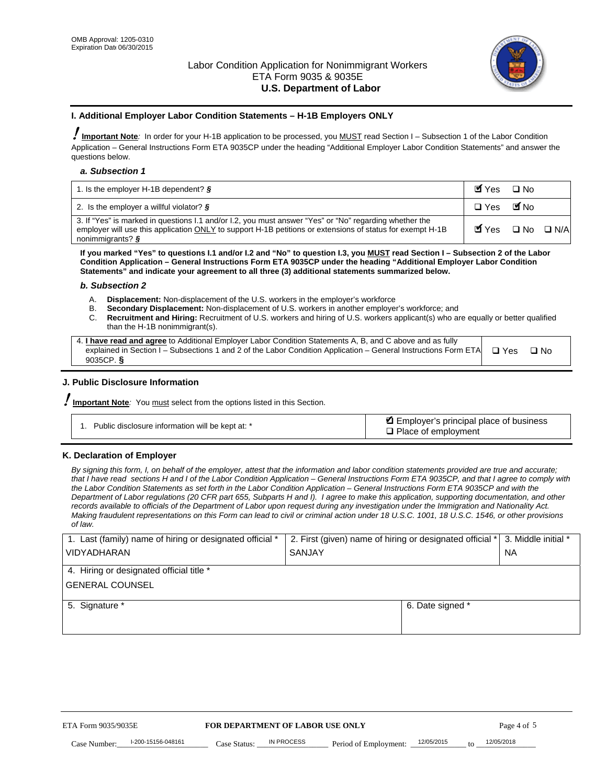

#### **I. Additional Employer Labor Condition Statements – H-1B Employers ONLY**

!**Important Note***:* In order for your H-1B application to be processed, you MUST read Section I – Subsection 1 of the Labor Condition Application – General Instructions Form ETA 9035CP under the heading "Additional Employer Labor Condition Statements" and answer the questions below.

#### *a. Subsection 1*

| 1. Is the employer H-1B dependent? $\S$                                                                                                                                                                                                 | Myes □ No                                     |  |
|-----------------------------------------------------------------------------------------------------------------------------------------------------------------------------------------------------------------------------------------|-----------------------------------------------|--|
| 2. Is the employer a willful violator? $\frac{1}{2}$                                                                                                                                                                                    | □ Yes ■No                                     |  |
| 3. If "Yes" is marked in questions I.1 and/or I.2, you must answer "Yes" or "No" regarding whether the<br>employer will use this application ONLY to support H-1B petitions or extensions of status for exempt H-1B<br>nonimmigrants? § | $\blacksquare$ Yes $\square$ No $\square$ N/A |  |

**If you marked "Yes" to questions I.1 and/or I.2 and "No" to question I.3, you MUST read Section I – Subsection 2 of the Labor Condition Application – General Instructions Form ETA 9035CP under the heading "Additional Employer Labor Condition Statements" and indicate your agreement to all three (3) additional statements summarized below.** 

#### *b. Subsection 2*

- A. **Displacement:** Non-displacement of the U.S. workers in the employer's workforce
- B. **Secondary Displacement:** Non-displacement of U.S. workers in another employer's workforce; and
- C. **Recruitment and Hiring:** Recruitment of U.S. workers and hiring of U.S. workers applicant(s) who are equally or better qualified than the H-1B nonimmigrant(s).

| 4. I have read and agree to Additional Employer Labor Condition Statements A, B, and C above and as fully       |            |      |
|-----------------------------------------------------------------------------------------------------------------|------------|------|
| explained in Section I – Subsections 1 and 2 of the Labor Condition Application – General Instructions Form ETA | $\Box$ Yes | ⊟ No |
| 9035CP. $\frac{5}{9}$                                                                                           |            |      |

# **J. Public Disclosure Information**

!**Important Note***:* You must select from the options listed in this Section.

| Public disclosure information will be kept at: * | Employer's principal place of business<br>$\Box$ Place of employment |
|--------------------------------------------------|----------------------------------------------------------------------|
|--------------------------------------------------|----------------------------------------------------------------------|

#### **K. Declaration of Employer**

*By signing this form, I, on behalf of the employer, attest that the information and labor condition statements provided are true and accurate;*  that I have read sections H and I of the Labor Condition Application – General Instructions Form ETA 9035CP, and that I agree to comply with *the Labor Condition Statements as set forth in the Labor Condition Application – General Instructions Form ETA 9035CP and with the Department of Labor regulations (20 CFR part 655, Subparts H and I). I agree to make this application, supporting documentation, and other records available to officials of the Department of Labor upon request during any investigation under the Immigration and Nationality Act. Making fraudulent representations on this Form can lead to civil or criminal action under 18 U.S.C. 1001, 18 U.S.C. 1546, or other provisions of law.* 

| 1. Last (family) name of hiring or designated official * | 2. First (given) name of hiring or designated official * |                                               | 3. Middle initial * |
|----------------------------------------------------------|----------------------------------------------------------|-----------------------------------------------|---------------------|
| <b>VIDYADHARAN</b>                                       | <b>SANJAY</b>                                            |                                               | <b>NA</b>           |
| 4. Hiring or designated official title *                 |                                                          |                                               |                     |
| <b>GENERAL COUNSEL</b>                                   |                                                          |                                               |                     |
| 5. Signature *                                           |                                                          | 6. Date signed *                              |                     |
|                                                          |                                                          |                                               |                     |
|                                                          |                                                          |                                               |                     |
|                                                          |                                                          |                                               |                     |
|                                                          |                                                          |                                               |                     |
| FOR DEPARTMENT OF LABOR USE ONLY<br>ETA Form 9035/9035E  |                                                          |                                               | Page 4 of 5         |
| I-200-15156-048161<br>Case Number<br>Case Status:        | IN PROCESS<br>Period of Employment:                      | 12/05/2015<br>12/05/2018<br>$\mathsf{t} \cap$ |                     |